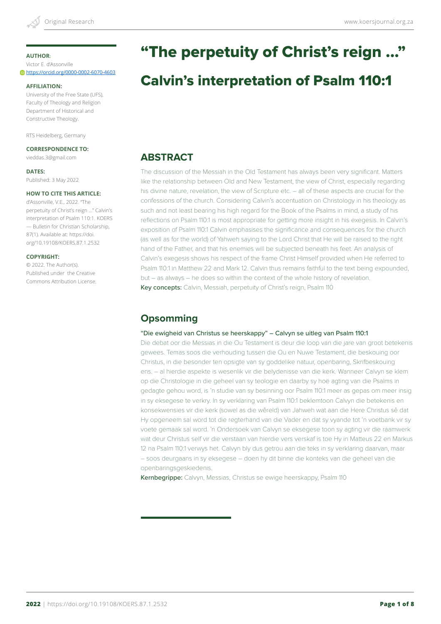Victor E. d'Assonville https://orcid.org/0000-0002-6070-4603

#### **AFFILIATION:**

University of the Free State (UFS), Faculty of Theology and Religion Department of Historical and Constructive Theology.

RTS Heidelberg, Germany

#### **CORRESPONDENCE TO:**

vieddas.3@gmail.com

#### **DATES:**

Published: 3 May 2022

### **HOW TO CITE THIS ARTICLE:**

d'Assonville, V.E., 2022. "The perpetuity of Christ's reign ..." Calvin's interpretation of Psalm 110:1. KOERS — Bulletin for Christian Scholarship, 87(1). Available at: https://doi. org/10.19108/KOERS.87.1.2532

#### **COPYRIGHT:**

© 2022. The Author(s). Published under the Creative Commons Attribution License.

# "The perpetuity of Christ's reign ..."

# Calvin's interpretation of Psalm 110:1

# **ABSTRACT**

The discussion of the Messiah in the Old Testament has always been very significant. Matters like the relationship between Old and New Testament, the view of Christ, especially regarding his divine nature, revelation, the view of Scripture etc. – all of these aspects are crucial for the confessions of the church. Considering Calvin's accentuation on Christology in his theology as such and not least bearing his high regard for the Book of the Psalms in mind, a study of his reflections on Psalm 110:1 is most appropriate for getting more insight in his exegesis. In Calvin's exposition of Psalm 110:1 Calvin emphasises the significance and consequences for the church (as well as for the world) of Yahweh saying to the Lord Christ that He will be raised to the right hand of the Father, and that his enemies will be subjected beneath his feet. An analysis of Calvin's exegesis shows his respect of the frame Christ Himself provided when He referred to Psalm 110:1 in Matthew 22 and Mark 12. Calvin thus remains faithful to the text being expounded, but – as always – he does so within the context of the whole history of revelation. Key concepts: Calvin, Messiah, perpetuity of Christ's reign, Psalm 110

# **Opsomming**

#### "Die ewigheid van Christus se heerskappy" – Calvyn se uitleg van Psalm 110:1

Die debat oor die Messias in die Ou Testament is deur die loop van die jare van groot betekenis gewees. Temas soos die verhouding tussen die Ou en Nuwe Testament, die beskouing oor Christus, in die besonder ten opsigte van sy goddelike natuur, openbaring, Skrifbeskouing ens. – al hierdie aspekte is wesenlik vir die belydenisse van die kerk. Wanneer Calvyn se klem op die Christologie in die geheel van sy teologie en daarby sy hoë agting van die Psalms in gedagte gehou word, is 'n studie van sy besinning oor Psalm 110:1 meer as gepas om meer insig in sy eksegese te verkry. In sy verklaring van Psalm 110:1 beklemtoon Calvyn die betekenis en konsekwensies vir die kerk (sowel as die wêreld) van Jahweh wat aan die Here Christus sê dat Hy opgeneem sal word tot die regterhand van die Vader en dat sy vyande tot 'n voetbank vir sy voete gemaak sal word. 'n Ondersoek van Calvyn se eksegese toon sy agting vir die raamwerk wat deur Christus self vir die verstaan van hierdie vers verskaf is toe Hy in Matteus 22 en Markus 12 na Psalm 110:1 verwys het. Calvyn bly dus getrou aan die teks in sy verklaring daarvan, maar – soos deurgaans in sy eksegese – doen hy dit binne die konteks van die geheel van die openbaringsgeskiedenis.

Kernbegrippe: Calvyn, Messias, Christus se ewige heerskappy, Psalm 110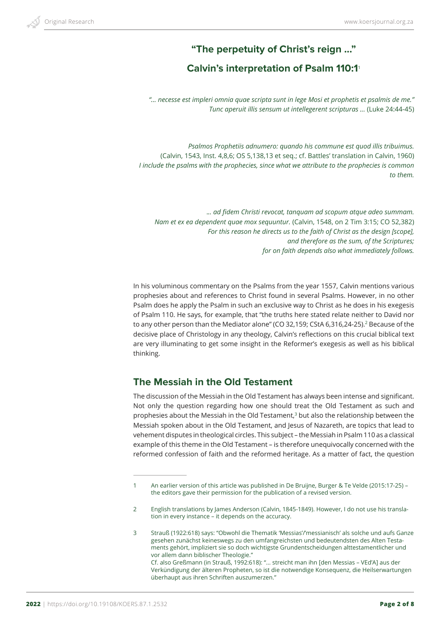# **"The perpetuity of Christ's reign ..."**

# **Calvin's interpretation of Psalm 110:1**<sup>1</sup>

*"... necesse est impleri omnia quae scripta sunt in lege Mosi et prophetis et psalmis de me." Tunc aperuit illis sensum ut intellegerent scripturas ...* (Luke 24:44-45)

*Psalmos Prophetiis adnumero: quando his commune est quod illis tribuimus.*  (Calvin, 1543, Inst. 4,8,6; OS 5,138,13 et seq.; cf. Battles' translation in Calvin, 1960) *I include the psalms with the prophecies, since what we attribute to the prophecies is common to them.* 

.*.. ad fidem Christi revocat, tanquam ad scopum atque adeo summam. Nam et ex ea dependent quae mox sequuntur.* (Calvin, 1548, on 2 Tim 3:15; CO 52,382) *For this reason he directs us to the faith of Christ as the design [scope], and therefore as the sum, of the Scriptures; for on faith depends also what immediately follows.*

In his voluminous commentary on the Psalms from the year 1557, Calvin mentions various prophesies about and references to Christ found in several Psalms. However, in no other Psalm does he apply the Psalm in such an exclusive way to Christ as he does in his exegesis of Psalm 110. He says, for example, that "the truths here stated relate neither to David nor to any other person than the Mediator alone" (CO 32.159; CStA 6.316.24-25).<sup>2</sup> Because of the decisive place of Christology in any theology, Calvin's reflections on this crucial biblical text are very illuminating to get some insight in the Reformer's exegesis as well as his biblical thinking.

## **The Messiah in the Old Testament**

The discussion of the Messiah in the Old Testament has always been intense and significant. Not only the question regarding how one should treat the Old Testament as such and prophesies about the Messiah in the Old Testament, $3$  but also the relationship between the Messiah spoken about in the Old Testament, and Jesus of Nazareth, are topics that lead to vehement disputes in theological circles. This subject – the Messiah in Psalm 110 as a classical example of this theme in the Old Testament – is therefore unequivocally concerned with the reformed confession of faith and the reformed heritage. As a matter of fact, the question

<sup>1</sup> An earlier version of this article was published in De Bruijne, Burger & Te Velde (2015:17-25) – the editors gave their permission for the publication of a revised version.

<sup>2</sup> English translations by James Anderson (Calvin, 1845-1849). However, I do not use his translation in every instance – it depends on the accuracy.

<sup>3</sup> Strauß (1922:618) says: "Obwohl die Thematik 'Messias'/'messianisch' als solche und aufs Ganze gesehen zunächst keineswegs zu den umfangreichsten und bedeutendsten des Alten Testaments gehört, impliziert sie so doch wichtigste Grundentscheidungen alttestamentlicher und vor allem dann biblischer Theologie." Cf. also Greßmann (in Strauß, 1992:618): "... streicht man ihn [den Messias – VEd'A] aus der Verkündigung der älteren Propheten, so ist die notwendige Konsequenz, die Heilserwartungen überhaupt aus ihren Schriften auszumerzen."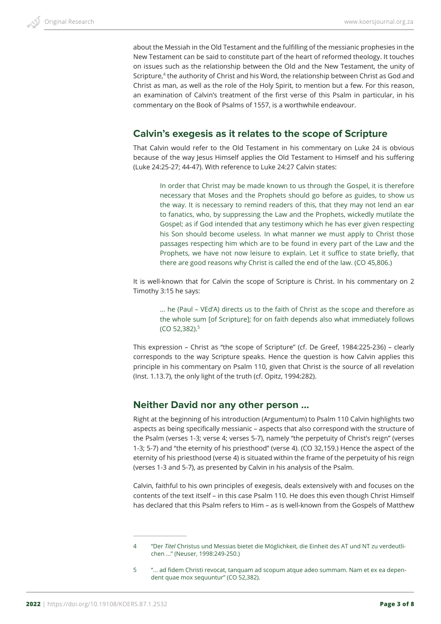about the Messiah in the Old Testament and the fulfilling of the messianic prophesies in the New Testament can be said to constitute part of the heart of reformed theology. It touches on issues such as the relationship between the Old and the New Testament, the unity of Scripture,<sup>4</sup> the authority of Christ and his Word, the relationship between Christ as God and Christ as man, as well as the role of the Holy Spirit, to mention but a few. For this reason, an examination of Calvin's treatment of the first verse of this Psalm in particular, in his commentary on the Book of Psalms of 1557, is a worthwhile endeavour.

## **Calvin's exegesis as it relates to the scope of Scripture**

That Calvin would refer to the Old Testament in his commentary on Luke 24 is obvious because of the way Jesus Himself applies the Old Testament to Himself and his suffering (Luke 24:25-27; 44-47). With reference to Luke 24:27 Calvin states:

In order that Christ may be made known to us through the Gospel, it is therefore necessary that Moses and the Prophets should go before as guides, to show us the way. It is necessary to remind readers of this, that they may not lend an ear to fanatics, who, by suppressing the Law and the Prophets, wickedly mutilate the Gospel; as if God intended that any testimony which he has ever given respecting his Son should become useless. In what manner we must apply to Christ those passages respecting him which are to be found in every part of the Law and the Prophets, we have not now leisure to explain. Let it suffice to state briefly, that there are good reasons why Christ is called the end of the law. (CO 45,806.)

It is well-known that for Calvin the scope of Scripture is Christ. In his commentary on 2 Timothy 3:15 he says:

... he (Paul – VEd'A) directs us to the faith of Christ as the scope and therefore as the whole sum [of Scripture]; for on faith depends also what immediately follows (CO 52,382).5

This expression – Christ as "the scope of Scripture" (cf. De Greef, 1984:225-236) – clearly corresponds to the way Scripture speaks. Hence the question is how Calvin applies this principle in his commentary on Psalm 110, given that Christ is the source of all revelation (Inst. 1.13.7), the only light of the truth (cf. Opitz, 1994:282).

## **Neither David nor any other person ...**

Right at the beginning of his introduction (Argumentum) to Psalm 110 Calvin highlights two aspects as being specifically messianic – aspects that also correspond with the structure of the Psalm (verses 1-3; verse 4; verses 5-7), namely "the perpetuity of Christ's reign" (verses 1-3; 5-7) and "the eternity of his priesthood" (verse 4). (CO 32,159.) Hence the aspect of the eternity of his priesthood (verse 4) is situated within the frame of the perpetuity of his reign (verses 1-3 and 5-7), as presented by Calvin in his analysis of the Psalm.

Calvin, faithful to his own principles of exegesis, deals extensively with and focuses on the contents of the text itself – in this case Psalm 110. He does this even though Christ Himself has declared that this Psalm refers to Him – as is well-known from the Gospels of Matthew

<sup>4</sup> "Der *Titel* Christus und Messias bietet die Möglichkeit, die Einheit des AT und NT zu verdeutlichen ..." (Neuser, 1998:249-250.)

<sup>5</sup> "... ad fidem Christi revocat, tanquam ad scopum atque adeo summam. Nam et ex ea dependent quae mox sequuntur" (CO 52,382).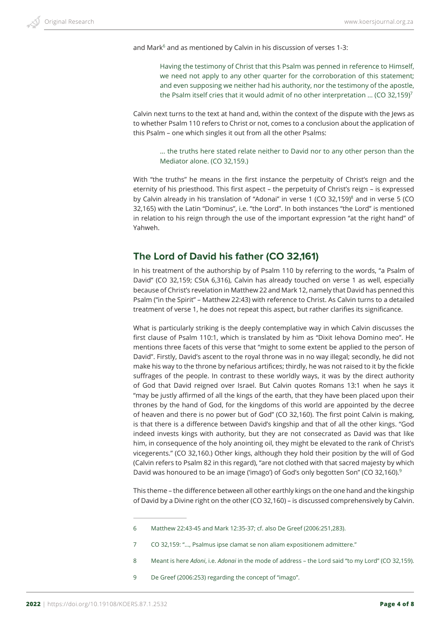and Mark<sup>6</sup> and as mentioned by Calvin in his discussion of verses 1-3:

Having the testimony of Christ that this Psalm was penned in reference to Himself, we need not apply to any other quarter for the corroboration of this statement; and even supposing we neither had his authority, nor the testimony of the apostle, the Psalm itself cries that it would admit of no other interpretation ... (CO 32,159)<sup>7</sup>

Calvin next turns to the text at hand and, within the context of the dispute with the Jews as to whether Psalm 110 refers to Christ or not, comes to a conclusion about the application of this Psalm – one which singles it out from all the other Psalms:

... the truths here stated relate neither to David nor to any other person than the Mediator alone. (CO 32,159.)

With "the truths" he means in the first instance the perpetuity of Christ's reign and the eternity of his priesthood. This first aspect – the perpetuity of Christ's reign – is expressed by Calvin already in his translation of "Adonai" in verse 1 (CO 32,159)<sup>8</sup> and in verse 5 (CO 32,165) with the Latin "Dominus", i.e. "the Lord". In both instances "the Lord" is mentioned in relation to his reign through the use of the important expression "at the right hand" of Yahweh.

# **The Lord of David his father (CO 32,161)**

In his treatment of the authorship by of Psalm 110 by referring to the words, "a Psalm of David" (CO 32,159; CStA 6,316), Calvin has already touched on verse 1 as well, especially because of Christ's revelation in Matthew 22 and Mark 12, namely that David has penned this Psalm ("in the Spirit" – Matthew 22:43) with reference to Christ. As Calvin turns to a detailed treatment of verse 1, he does not repeat this aspect, but rather clarifies its significance.

What is particularly striking is the deeply contemplative way in which Calvin discusses the first clause of Psalm 110:1, which is translated by him as "Dixit Iehova Domino meo". He mentions three facets of this verse that "might to some extent be applied to the person of David". Firstly, David's ascent to the royal throne was in no way illegal; secondly, he did not make his way to the throne by nefarious artifices; thirdly, he was not raised to it by the fickle suffrages of the people. In contrast to these worldly ways, it was by the direct authority of God that David reigned over Israel. But Calvin quotes Romans 13:1 when he says it "may be justly affirmed of all the kings of the earth, that they have been placed upon their thrones by the hand of God, for the kingdoms of this world are appointed by the decree of heaven and there is no power but of God" (CO 32,160). The first point Calvin is making, is that there is a difference between David's kingship and that of all the other kings. "God indeed invests kings with authority, but they are not consecrated as David was that like him, in consequence of the holy anointing oil, they might be elevated to the rank of Christ's vicegerents." (CO 32,160.) Other kings, although they hold their position by the will of God (Calvin refers to Psalm 82 in this regard), "are not clothed with that sacred majesty by which David was honoured to be an image ('imago') of God's only begotten Son" (CO 32,160).<sup>9</sup>

This theme – the difference between all other earthly kings on the one hand and the kingship of David by a Divine right on the other (CO 32,160) – is discussed comprehensively by Calvin.

9 De Greef (2006:253) regarding the concept of "imago".

<sup>6</sup> Matthew 22:43-45 and Mark 12:35-37; cf. also De Greef (2006:251,283).

<sup>7</sup> CO 32,159: "..., Psalmus ipse clamat se non aliam expositionem admittere."

<sup>8</sup> Meant is here *Adoni*, i.e. *Adonai* in the mode of address – the Lord said "to my Lord" (CO 32,159).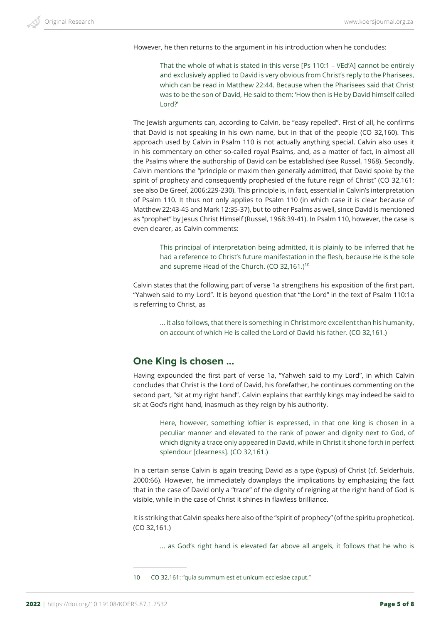However, he then returns to the argument in his introduction when he concludes:

That the whole of what is stated in this verse [Ps 110:1 – VEd'A] cannot be entirely and exclusively applied to David is very obvious from Christ's reply to the Pharisees, which can be read in Matthew 22:44. Because when the Pharisees said that Christ was to be the son of David, He said to them: 'How then is He by David himself called Lord?'

The Jewish arguments can, according to Calvin, be "easy repelled". First of all, he confirms that David is not speaking in his own name, but in that of the people (CO 32,160). This approach used by Calvin in Psalm 110 is not actually anything special. Calvin also uses it in his commentary on other so-called royal Psalms, and, as a matter of fact, in almost all the Psalms where the authorship of David can be established (see Russel, 1968). Secondly, Calvin mentions the "principle or maxim then generally admitted, that David spoke by the spirit of prophecy and consequently prophesied of the future reign of Christ" (CO 32,161; see also De Greef, 2006:229-230). This principle is, in fact, essential in Calvin's interpretation of Psalm 110. It thus not only applies to Psalm 110 (in which case it is clear because of Matthew 22:43-45 and Mark 12:35-37), but to other Psalms as well, since David is mentioned as "prophet" by Jesus Christ Himself (Russel, 1968:39-41). In Psalm 110, however, the case is even clearer, as Calvin comments:

This principal of interpretation being admitted, it is plainly to be inferred that he had a reference to Christ's future manifestation in the flesh, because He is the sole and supreme Head of the Church. (CO 32,161.)<sup>10</sup>

Calvin states that the following part of verse 1a strengthens his exposition of the first part, "Yahweh said to my Lord". It is beyond question that "the Lord" in the text of Psalm 110:1a is referring to Christ, as

... it also follows, that there is something in Christ more excellent than his humanity, on account of which He is called the Lord of David his father. (CO 32,161.)

## **One King is chosen ...**

Having expounded the first part of verse 1a, "Yahweh said to my Lord", in which Calvin concludes that Christ is the Lord of David, his forefather, he continues commenting on the second part, "sit at my right hand". Calvin explains that earthly kings may indeed be said to sit at God's right hand, inasmuch as they reign by his authority.

Here, however, something loftier is expressed, in that one king is chosen in a peculiar manner and elevated to the rank of power and dignity next to God, of which dignity a trace only appeared in David, while in Christ it shone forth in perfect splendour [clearness]. (CO 32,161.)

In a certain sense Calvin is again treating David as a type (typus) of Christ (cf. Selderhuis, 2000:66). However, he immediately downplays the implications by emphasizing the fact that in the case of David only a "trace" of the dignity of reigning at the right hand of God is visible, while in the case of Christ it shines in flawless brilliance.

It is striking that Calvin speaks here also of the "spirit of prophecy" (of the spiritu prophetico). (CO 32,161.)

... as God's right hand is elevated far above all angels, it follows that he who is

10 CO 32,161: "quia summum est et unicum ecclesiae caput."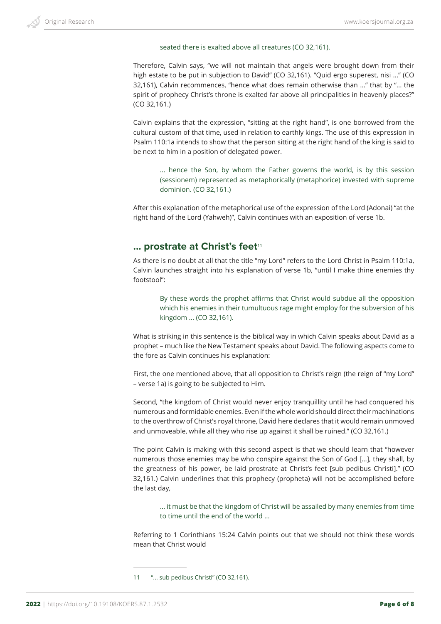### seated there is exalted above all creatures (CO 32,161).

Therefore, Calvin says, "we will not maintain that angels were brought down from their high estate to be put in subjection to David" (CO 32,161). "Quid ergo superest, nisi ..." (CO 32,161), Calvin recommences, "hence what does remain otherwise than ..." that by "... the spirit of prophecy Christ's throne is exalted far above all principalities in heavenly places?" (CO 32,161.)

Calvin explains that the expression, "sitting at the right hand", is one borrowed from the cultural custom of that time, used in relation to earthly kings. The use of this expression in Psalm 110:1a intends to show that the person sitting at the right hand of the king is said to be next to him in a position of delegated power.

... hence the Son, by whom the Father governs the world, is by this session (sessionem) represented as metaphorically (metaphorice) invested with supreme dominion. (CO 32,161.)

After this explanation of the metaphorical use of the expression of the Lord (Adonai) "at the right hand of the Lord (Yahweh)", Calvin continues with an exposition of verse 1b.

## **... prostrate at Christ's feet<sup>11</sup>**

As there is no doubt at all that the title "my Lord" refers to the Lord Christ in Psalm 110:1a, Calvin launches straight into his explanation of verse 1b, "until I make thine enemies thy footstool":

By these words the prophet affirms that Christ would subdue all the opposition which his enemies in their tumultuous rage might employ for the subversion of his kingdom ... (CO 32,161).

What is striking in this sentence is the biblical way in which Calvin speaks about David as a prophet – much like the New Testament speaks about David. The following aspects come to the fore as Calvin continues his explanation:

First, the one mentioned above, that all opposition to Christ's reign (the reign of "my Lord" – verse 1a) is going to be subjected to Him.

Second, "the kingdom of Christ would never enjoy tranquillity until he had conquered his numerous and formidable enemies. Even if the whole world should direct their machinations to the overthrow of Christ's royal throne, David here declares that it would remain unmoved and unmoveable, while all they who rise up against it shall be ruined." (CO 32,161.)

The point Calvin is making with this second aspect is that we should learn that "however numerous those enemies may be who conspire against the Son of God [...], they shall, by the greatness of his power, be laid prostrate at Christ's feet [sub pedibus Christi]." (CO 32,161.) Calvin underlines that this prophecy (propheta) will not be accomplished before the last day,

… it must be that the kingdom of Christ will be assailed by many enemies from time to time until the end of the world ...

Referring to 1 Corinthians 15:24 Calvin points out that we should not think these words mean that Christ would

<sup>11</sup> "... sub pedibus Christi" (CO 32,161).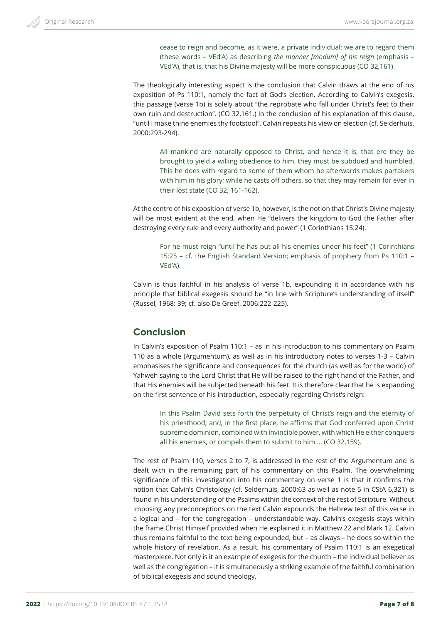cease to reign and become, as it were, a private individual; we are to regard them (these words – VEd'A) as describing *the manner [modum] of his reign* (emphasis – VEd'A), that is, that his Divine majesty will be more conspicuous (CO 32,161).

The theologically interesting aspect is the conclusion that Calvin draws at the end of his exposition of Ps 110:1, namely the fact of God's election. According to Calvin's exegesis, this passage (verse 1b) is solely about "the reprobate who fall under Christ's feet to their own ruin and destruction". (CO 32,161.) In the conclusion of his explanation of this clause, "until I make thine enemies thy footstool", Calvin repeats his view on election (cf. Selderhuis, 2000:293-294).

All mankind are naturally opposed to Christ, and hence it is, that ere they be brought to yield a willing obedience to him, they must be subdued and humbled. This he does with regard to some of them whom he afterwards makes partakers with him in his glory; while he casts off others, so that they may remain for ever in their lost state (CO 32, 161-162).

At the centre of his exposition of verse 1b, however, is the notion that Christ's Divine majesty will be most evident at the end, when He "delivers the kingdom to God the Father after destroying every rule and every authority and power" (1 Corinthians 15:24).

For he must reign "until he has put all his enemies under his feet" (1 Corinthians 15:25 – cf. the English Standard Version; emphasis of prophecy from Ps 110:1 – VEd'A).

Calvin is thus faithful in his analysis of verse 1b, expounding it in accordance with his principle that biblical exegesis should be "in line with Scripture's understanding of itself" (Russel, 1968: 39; cf. also De Greef, 2006:222-225).

## **Conclusion**

In Calvin's exposition of Psalm 110:1 – as in his introduction to his commentary on Psalm 110 as a whole (Argumentum), as well as in his introductory notes to verses 1-3 – Calvin emphasises the significance and consequences for the church (as well as for the world) of Yahweh saying to the Lord Christ that He will be raised to the right hand of the Father, and that His enemies will be subjected beneath his feet. It is therefore clear that he is expanding on the first sentence of his introduction, especially regarding Christ's reign:

In this Psalm David sets forth the perpetuity of Christ's reign and the eternity of his priesthood; and, in the first place, he affirms that God conferred upon Christ supreme dominion, combined with invincible power, with which He either conquers all his enemies, or compels them to submit to him ... (CO 32,159).

The rest of Psalm 110, verses 2 to 7, is addressed in the rest of the Argumentum and is dealt with in the remaining part of his commentary on this Psalm. The overwhelming significance of this investigation into his commentary on verse 1 is that it confirms the notion that Calvin's Christology (cf. Selderhuis, 2000:63 as well as note 5 in CStA 6,321) is found in his understanding of the Psalms within the context of the rest of Scripture. Without imposing any preconceptions on the text Calvin expounds the Hebrew text of this verse in a logical and – for the congregation – understandable way. Calvin's exegesis stays within the frame Christ Himself provided when He explained it in Matthew 22 and Mark 12. Calvin thus remains faithful to the text being expounded, but – as always – he does so within the whole history of revelation. As a result, his commentary of Psalm 110:1 is an exegetical masterpiece. Not only is it an example of exegesis for the church – the individual believer as well as the congregation – it is simultaneously a striking example of the faithful combination of biblical exegesis and sound theology.